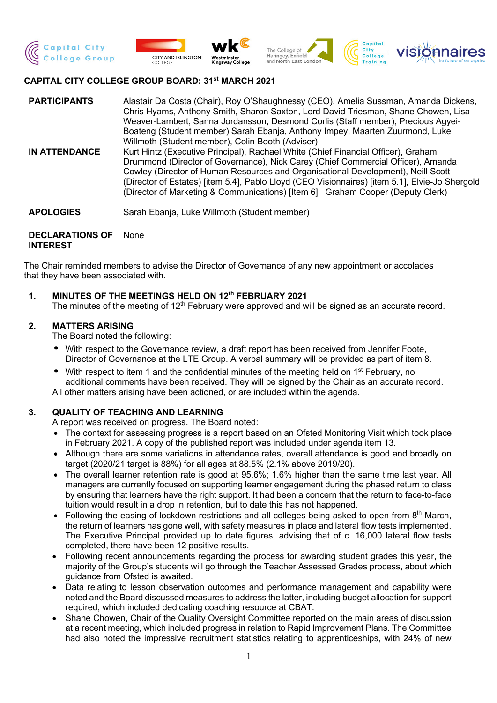







#### **CAPITAL CITY COLLEGE GROUP BOARD: 31st MARCH 2021**

- **PARTICIPANTS** Alastair Da Costa (Chair), Roy O'Shaughnessy (CEO), Amelia Sussman, Amanda Dickens, Chris Hyams, Anthony Smith, Sharon Saxton, Lord David Triesman, Shane Chowen, Lisa Weaver-Lambert, Sanna Jordansson, Desmond Corlis (Staff member), Precious Agyei-Boateng (Student member) Sarah Ebanja, Anthony Impey, Maarten Zuurmond, Luke Willmoth (Student member), Colin Booth (Adviser)
- **IN ATTENDANCE** Kurt Hintz (Executive Principal), Rachael White (Chief Financial Officer), Graham Drummond (Director of Governance), Nick Carey (Chief Commercial Officer), Amanda Cowley (Director of Human Resources and Organisational Development), Neill Scott (Director of Estates) [item 5.4], Pablo Lloyd (CEO Visionnaires) [item 5.1], Elvie-Jo Shergold (Director of Marketing & Communications) [Item 6] Graham Cooper (Deputy Clerk)
- **APOLOGIES** Sarah Ebanja, Luke Willmoth (Student member)

#### **DECLARATIONS OF INTEREST** None

The Chair reminded members to advise the Director of Governance of any new appointment or accolades that they have been associated with.

#### **1. MINUTES OF THE MEETINGS HELD ON 12th FEBRUARY 2021**

The minutes of the meeting of 12<sup>th</sup> February were approved and will be signed as an accurate record.

#### **2. MATTERS ARISING**

The Board noted the following:

- With respect to the Governance review, a draft report has been received from Jennifer Foote, Director of Governance at the LTE Group. A verbal summary will be provided as part of item 8.
- With respect to item 1 and the confidential minutes of the meeting held on 1<sup>st</sup> February, no additional comments have been received. They will be signed by the Chair as an accurate record. All other matters arising have been actioned, or are included within the agenda.

#### **3. QUALITY OF TEACHING AND LEARNING**

A report was received on progress. The Board noted:

- The context for assessing progress is a report based on an Ofsted Monitoring Visit which took place in February 2021. A copy of the published report was included under agenda item 13.
- Although there are some variations in attendance rates, overall attendance is good and broadly on target (2020/21 target is 88%) for all ages at 88.5% (2.1% above 2019/20).
- The overall learner retention rate is good at 95.6%; 1.6% higher than the same time last year. All managers are currently focused on supporting learner engagement during the phased return to class by ensuring that learners have the right support. It had been a concern that the return to face-to-face tuition would result in a drop in retention, but to date this has not happened.
- Following the easing of lockdown restrictions and all colleges being asked to open from 8th March, the return of learners has gone well, with safety measures in place and lateral flow tests implemented. The Executive Principal provided up to date figures, advising that of c. 16,000 lateral flow tests completed, there have been 12 positive results.
- Following recent announcements regarding the process for awarding student grades this year, the majority of the Group's students will go through the Teacher Assessed Grades process, about which guidance from Ofsted is awaited.
- Data relating to lesson observation outcomes and performance management and capability were noted and the Board discussed measures to address the latter, including budget allocation for support required, which included dedicating coaching resource at CBAT.
- Shane Chowen, Chair of the Quality Oversight Committee reported on the main areas of discussion at a recent meeting, which included progress in relation to Rapid Improvement Plans. The Committee had also noted the impressive recruitment statistics relating to apprenticeships, with 24% of new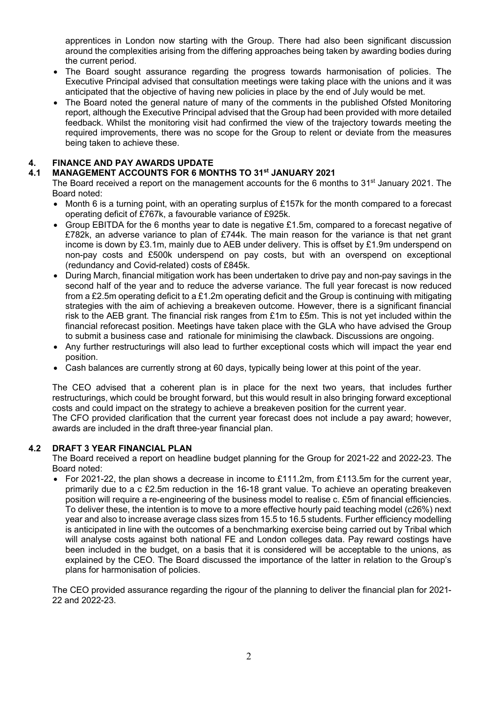apprentices in London now starting with the Group. There had also been significant discussion around the complexities arising from the differing approaches being taken by awarding bodies during the current period.

- The Board sought assurance regarding the progress towards harmonisation of policies. The Executive Principal advised that consultation meetings were taking place with the unions and it was anticipated that the objective of having new policies in place by the end of July would be met.
- The Board noted the general nature of many of the comments in the published Ofsted Monitoring report, although the Executive Principal advised that the Group had been provided with more detailed feedback. Whilst the monitoring visit had confirmed the view of the trajectory towards meeting the required improvements, there was no scope for the Group to relent or deviate from the measures being taken to achieve these.

# **4. FINANCE AND PAY AWARDS UPDATE**

#### **4.1 MANAGEMENT ACCOUNTS FOR 6 MONTHS TO 31st JANUARY 2021**

The Board received a report on the management accounts for the 6 months to  $31<sup>st</sup>$  January 2021. The Board noted:

- Month 6 is a turning point, with an operating surplus of £157k for the month compared to a forecast operating deficit of £767k, a favourable variance of £925k.
- Group EBITDA for the 6 months year to date is negative £1.5m, compared to a forecast negative of £782k, an adverse variance to plan of £744k. The main reason for the variance is that net grant income is down by £3.1m, mainly due to AEB under delivery. This is offset by £1.9m underspend on non-pay costs and £500k underspend on pay costs, but with an overspend on exceptional (redundancy and Covid-related) costs of £845k.
- During March, financial mitigation work has been undertaken to drive pay and non-pay savings in the second half of the year and to reduce the adverse variance. The full year forecast is now reduced from a £2.5m operating deficit to a £1.2m operating deficit and the Group is continuing with mitigating strategies with the aim of achieving a breakeven outcome. However, there is a significant financial risk to the AEB grant. The financial risk ranges from £1m to £5m. This is not yet included within the financial reforecast position. Meetings have taken place with the GLA who have advised the Group to submit a business case and rationale for minimising the clawback. Discussions are ongoing.
- Any further restructurings will also lead to further exceptional costs which will impact the year end position.
- Cash balances are currently strong at 60 days, typically being lower at this point of the year.

The CEO advised that a coherent plan is in place for the next two years, that includes further restructurings, which could be brought forward, but this would result in also bringing forward exceptional costs and could impact on the strategy to achieve a breakeven position for the current year. The CFO provided clarification that the current year forecast does not include a pay award; however, awards are included in the draft three-year financial plan.

## **4.2 DRAFT 3 YEAR FINANCIAL PLAN**

The Board received a report on headline budget planning for the Group for 2021-22 and 2022-23. The Board noted:

• For 2021-22, the plan shows a decrease in income to £111.2m, from £113.5m for the current year, primarily due to a c £2.5m reduction in the 16-18 grant value. To achieve an operating breakeven position will require a re-engineering of the business model to realise c. £5m of financial efficiencies. To deliver these, the intention is to move to a more effective hourly paid teaching model (c26%) next year and also to increase average class sizes from 15.5 to 16.5 students. Further efficiency modelling is anticipated in line with the outcomes of a benchmarking exercise being carried out by Tribal which will analyse costs against both national FE and London colleges data. Pay reward costings have been included in the budget, on a basis that it is considered will be acceptable to the unions, as explained by the CEO. The Board discussed the importance of the latter in relation to the Group's plans for harmonisation of policies.

The CEO provided assurance regarding the rigour of the planning to deliver the financial plan for 2021- 22 and 2022-23.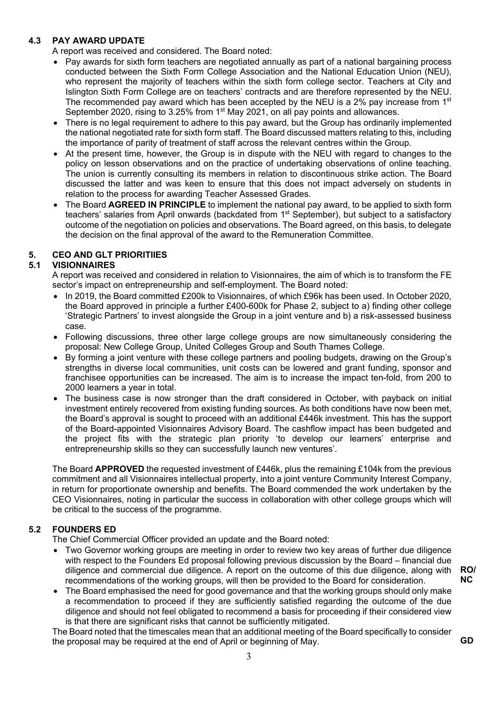#### **4.3 PAY AWARD UPDATE**

A report was received and considered. The Board noted:

- Pay awards for sixth form teachers are negotiated annually as part of a national bargaining process conducted between the Sixth Form College Association and the National Education Union (NEU), who represent the majority of teachers within the sixth form college sector. Teachers at City and Islington Sixth Form College are on teachers' contracts and are therefore represented by the NEU. The recommended pay award which has been accepted by the NEU is a 2% pay increase from 1<sup>st</sup> September 2020, rising to 3.25% from 1<sup>st</sup> May 2021, on all pay points and allowances.
- There is no legal requirement to adhere to this pay award, but the Group has ordinarily implemented the national negotiated rate for sixth form staff. The Board discussed matters relating to this, including the importance of parity of treatment of staff across the relevant centres within the Group.
- At the present time, however, the Group is in dispute with the NEU with regard to changes to the policy on lesson observations and on the practice of undertaking observations of online teaching. The union is currently consulting its members in relation to discontinuous strike action. The Board discussed the latter and was keen to ensure that this does not impact adversely on students in relation to the process for awarding Teacher Assessed Grades.
- The Board **AGREED IN PRINCIPLE** to implement the national pay award, to be applied to sixth form teachers' salaries from April onwards (backdated from 1<sup>st</sup> September), but subject to a satisfactory outcome of the negotiation on policies and observations. The Board agreed, on this basis, to delegate the decision on the final approval of the award to the Remuneration Committee.

#### **5. CEO AND GLT PRIORITIIES**

### **5.1 VISIONNAIRES**

A report was received and considered in relation to Visionnaires, the aim of which is to transform the FE sector's impact on entrepreneurship and self-employment. The Board noted:

- In 2019, the Board committed £200k to Visionnaires, of which £96k has been used. In October 2020, the Board approved in principle a further £400-600k for Phase 2, subject to a) finding other college 'Strategic Partners' to invest alongside the Group in a joint venture and b) a risk-assessed business case.
- Following discussions, three other large college groups are now simultaneously considering the proposal: New College Group, United Colleges Group and South Thames College.
- By forming a joint venture with these college partners and pooling budgets, drawing on the Group's strengths in diverse local communities, unit costs can be lowered and grant funding, sponsor and franchisee opportunities can be increased. The aim is to increase the impact ten-fold, from 200 to 2000 learners a year in total.
- The business case is now stronger than the draft considered in October, with payback on initial investment entirely recovered from existing funding sources. As both conditions have now been met, the Board's approval is sought to proceed with an additional £446k investment. This has the support of the Board-appointed Visionnaires Advisory Board. The cashflow impact has been budgeted and the project fits with the strategic plan priority 'to develop our learners' enterprise and entrepreneurship skills so they can successfully launch new ventures'.

The Board **APPROVED** the requested investment of £446k, plus the remaining £104k from the previous commitment and all Visionnaires intellectual property, into a joint venture Community Interest Company, in return for proportionate ownership and benefits. The Board commended the work undertaken by the CEO Visionnaires, noting in particular the success in collaboration with other college groups which will be critical to the success of the programme.

### **5.2 FOUNDERS ED**

The Chief Commercial Officer provided an update and the Board noted:

- Two Governor working groups are meeting in order to review two key areas of further due diligence with respect to the Founders Ed proposal following previous discussion by the Board – financial due diligence and commercial due diligence. A report on the outcome of this due diligence, along with recommendations of the working groups, will then be provided to the Board for consideration.
- **RO/ NC**

**GD**

• The Board emphasised the need for good governance and that the working groups should only make a recommendation to proceed if they are sufficiently satisfied regarding the outcome of the due diligence and should not feel obligated to recommend a basis for proceeding if their considered view is that there are significant risks that cannot be sufficiently mitigated.

The Board noted that the timescales mean that an additional meeting of the Board specifically to consider the proposal may be required at the end of April or beginning of May.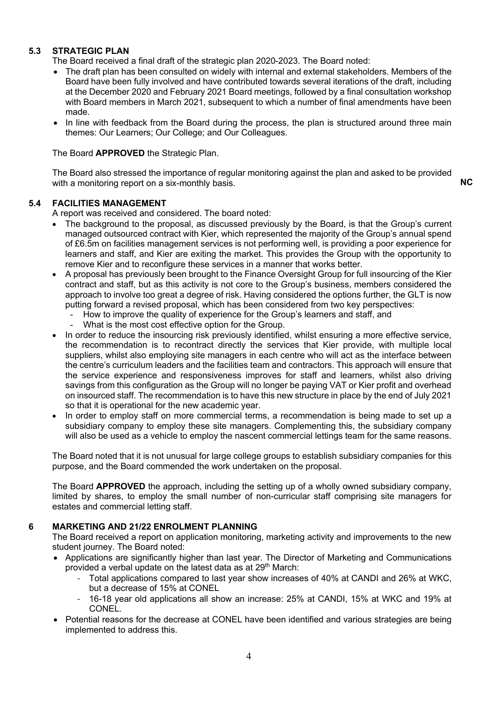#### **5.3 STRATEGIC PLAN**

The Board received a final draft of the strategic plan 2020-2023. The Board noted:

- The draft plan has been consulted on widely with internal and external stakeholders. Members of the Board have been fully involved and have contributed towards several iterations of the draft, including at the December 2020 and February 2021 Board meetings, followed by a final consultation workshop with Board members in March 2021, subsequent to which a number of final amendments have been made.
- In line with feedback from the Board during the process, the plan is structured around three main themes: Our Learners; Our College; and Our Colleagues.

The Board **APPROVED** the Strategic Plan.

The Board also stressed the importance of regular monitoring against the plan and asked to be provided with a monitoring report on a six-monthly basis. **NC** 

#### **5.4 FACILITIES MANAGEMENT**

A report was received and considered. The board noted:

- The background to the proposal, as discussed previously by the Board, is that the Group's current managed outsourced contract with Kier, which represented the majority of the Group's annual spend of £6.5m on facilities management services is not performing well, is providing a poor experience for learners and staff, and Kier are exiting the market. This provides the Group with the opportunity to remove Kier and to reconfigure these services in a manner that works better.
- A proposal has previously been brought to the Finance Oversight Group for full insourcing of the Kier contract and staff, but as this activity is not core to the Group's business, members considered the approach to involve too great a degree of risk. Having considered the options further, the GLT is now putting forward a revised proposal, which has been considered from two key perspectives:
	- How to improve the quality of experience for the Group's learners and staff, and
	- What is the most cost effective option for the Group.
- In order to reduce the insourcing risk previously identified, whilst ensuring a more effective service, the recommendation is to recontract directly the services that Kier provide, with multiple local suppliers, whilst also employing site managers in each centre who will act as the interface between the centre's curriculum leaders and the facilities team and contractors. This approach will ensure that the service experience and responsiveness improves for staff and learners, whilst also driving savings from this configuration as the Group will no longer be paying VAT or Kier profit and overhead on insourced staff. The recommendation is to have this new structure in place by the end of July 2021 so that it is operational for the new academic year.
- In order to employ staff on more commercial terms, a recommendation is being made to set up a subsidiary company to employ these site managers. Complementing this, the subsidiary company will also be used as a vehicle to employ the nascent commercial lettings team for the same reasons.

The Board noted that it is not unusual for large college groups to establish subsidiary companies for this purpose, and the Board commended the work undertaken on the proposal.

The Board **APPROVED** the approach, including the setting up of a wholly owned subsidiary company, limited by shares, to employ the small number of non-curricular staff comprising site managers for estates and commercial letting staff.

#### **6 MARKETING AND 21/22 ENROLMENT PLANNING**

The Board received a report on application monitoring, marketing activity and improvements to the new student journey. The Board noted:

- Applications are significantly higher than last year. The Director of Marketing and Communications provided a verbal update on the latest data as at 29<sup>th</sup> March:
	- Total applications compared to last year show increases of 40% at CANDI and 26% at WKC, but a decrease of 15% at CONEL
	- 16-18 year old applications all show an increase: 25% at CANDI, 15% at WKC and 19% at CONEL.
- Potential reasons for the decrease at CONEL have been identified and various strategies are being implemented to address this.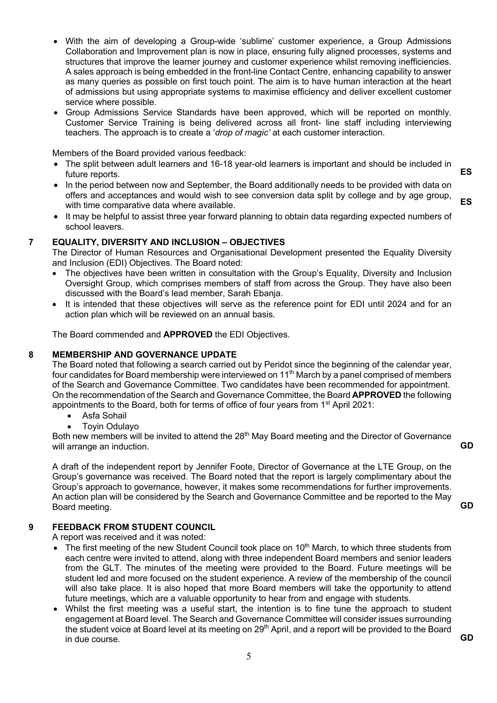- With the aim of developing a Group-wide 'sublime' customer experience, a Group Admissions Collaboration and Improvement plan is now in place, ensuring fully aligned processes, systems and structures that improve the learner journey and customer experience whilst removing inefficiencies. A sales approach is being embedded in the front-line Contact Centre, enhancing capability to answer as many queries as possible on first touch point. The aim is to have human interaction at the heart of admissions but using appropriate systems to maximise efficiency and deliver excellent customer service where possible.
- Group Admissions Service Standards have been approved, which will be reported on monthly. Customer Service Training is being delivered across all front- line staff including interviewing teachers. The approach is to create a '*drop of magic'* at each customer interaction.

Members of the Board provided various feedback:

- The split between adult learners and 16-18 year-old learners is important and should be included in future reports.
- In the period between now and September, the Board additionally needs to be provided with data on offers and acceptances and would wish to see conversion data split by college and by age group, with time comparative data where available.
- It may be helpful to assist three year forward planning to obtain data regarding expected numbers of school leavers.

#### **7 EQUALITY, DIVERSITY AND INCLUSION – OBJECTIVES**

The Director of Human Resources and Organisational Development presented the Equality Diversity and Inclusion (EDI) Objectives. The Board noted:

- The objectives have been written in consultation with the Group's Equality, Diversity and Inclusion Oversight Group, which comprises members of staff from across the Group. They have also been discussed with the Board's lead member, Sarah Ebanja.
- It is intended that these objectives will serve as the reference point for EDI until 2024 and for an action plan which will be reviewed on an annual basis.

The Board commended and **APPROVED** the EDI Objectives.

#### **8 MEMBERSHIP AND GOVERNANCE UPDATE**

The Board noted that following a search carried out by Peridot since the beginning of the calendar year, four candidates for Board membership were interviewed on 11<sup>th</sup> March by a panel comprised of members of the Search and Governance Committee. Two candidates have been recommended for appointment. On the recommendation of the Search and Governance Committee, the Board **APPROVED** the following appointments to the Board, both for terms of office of four years from 1<sup>st</sup> April 2021:

- Asfa Sohail
- Toyin Odulayo

Both new members will be invited to attend the 28<sup>th</sup> May Board meeting and the Director of Governance will arrange an induction.

**GD**

**GD**

A draft of the independent report by Jennifer Foote, Director of Governance at the LTE Group, on the Group's governance was received. The Board noted that the report is largely complimentary about the Group's approach to governance, however, it makes some recommendations for further improvements. An action plan will be considered by the Search and Governance Committee and be reported to the May Board meeting.

#### **9 FEEDBACK FROM STUDENT COUNCIL**

A report was received and it was noted:

- The first meeting of the new Student Council took place on  $10<sup>th</sup>$  March, to which three students from each centre were invited to attend, along with three independent Board members and senior leaders from the GLT. The minutes of the meeting were provided to the Board. Future meetings will be student led and more focused on the student experience. A review of the membership of the council will also take place. It is also hoped that more Board members will take the opportunity to attend future meetings, which are a valuable opportunity to hear from and engage with students.
- Whilst the first meeting was a useful start, the intention is to fine tune the approach to student engagement at Board level. The Search and Governance Committee will consider issues surrounding the student voice at Board level at its meeting on 29<sup>th</sup> April, and a report will be provided to the Board in due course. **GD**

**ES**

**ES**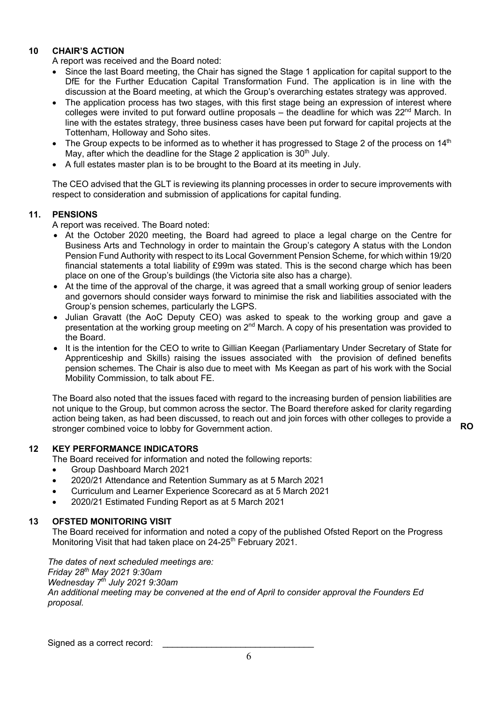#### **10 CHAIR'S ACTION**

A report was received and the Board noted:

- Since the last Board meeting, the Chair has signed the Stage 1 application for capital support to the DfE for the Further Education Capital Transformation Fund. The application is in line with the discussion at the Board meeting, at which the Group's overarching estates strategy was approved.
- The application process has two stages, with this first stage being an expression of interest where colleges were invited to put forward outline proposals – the deadline for which was  $22^{nd}$  March. In line with the estates strategy, three business cases have been put forward for capital projects at the Tottenham, Holloway and Soho sites.
- The Group expects to be informed as to whether it has progressed to Stage 2 of the process on  $14<sup>th</sup>$ May, after which the deadline for the Stage 2 application is  $30<sup>th</sup>$  July.
- A full estates master plan is to be brought to the Board at its meeting in July.

The CEO advised that the GLT is reviewing its planning processes in order to secure improvements with respect to consideration and submission of applications for capital funding.

#### **11. PENSIONS**

A report was received. The Board noted:

- At the October 2020 meeting, the Board had agreed to place a legal charge on the Centre for Business Arts and Technology in order to maintain the Group's category A status with the London Pension Fund Authority with respect to its Local Government Pension Scheme, for which within 19/20 financial statements a total liability of £99m was stated. This is the second charge which has been place on one of the Group's buildings (the Victoria site also has a charge).
- At the time of the approval of the charge, it was agreed that a small working group of senior leaders and governors should consider ways forward to minimise the risk and liabilities associated with the Group's pension schemes, particularly the LGPS.
- Julian Gravatt (the AoC Deputy CEO) was asked to speak to the working group and gave a presentation at the working group meeting on 2<sup>nd</sup> March. A copy of his presentation was provided to the Board.
- It is the intention for the CEO to write to Gillian Keegan (Parliamentary Under Secretary of State for Apprenticeship and Skills) raising the issues associated with the provision of defined benefits pension schemes. The Chair is also due to meet with Ms Keegan as part of his work with the Social Mobility Commission, to talk about FE.

The Board also noted that the issues faced with regard to the increasing burden of pension liabilities are not unique to the Group, but common across the sector. The Board therefore asked for clarity regarding action being taken, as had been discussed, to reach out and join forces with other colleges to provide a stronger combined voice to lobby for Government action. **RO**

#### **12 KEY PERFORMANCE INDICATORS**

The Board received for information and noted the following reports:

- Group Dashboard March 2021
- 2020/21 Attendance and Retention Summary as at 5 March 2021
- Curriculum and Learner Experience Scorecard as at 5 March 2021
- 2020/21 Estimated Funding Report as at 5 March 2021

#### **13 OFSTED MONITORING VISIT**

The Board received for information and noted a copy of the published Ofsted Report on the Progress Monitoring Visit that had taken place on 24-25<sup>th</sup> February 2021.

*The dates of next scheduled meetings are: Friday 28th May 2021 9:30am Wednesday 7th July 2021 9:30am An additional meeting may be convened at the end of April to consider approval the Founders Ed proposal.*

Signed as a correct record: